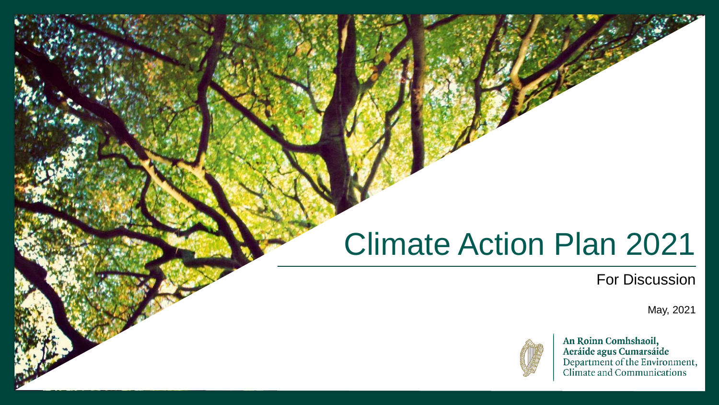# Climate Action Plan 2021

#### For Discussion

May, 2021



An Roinn Comhshaoil, Aeráide agus Cumarsáide<br>Department of the Environment,<br>Climate and Communications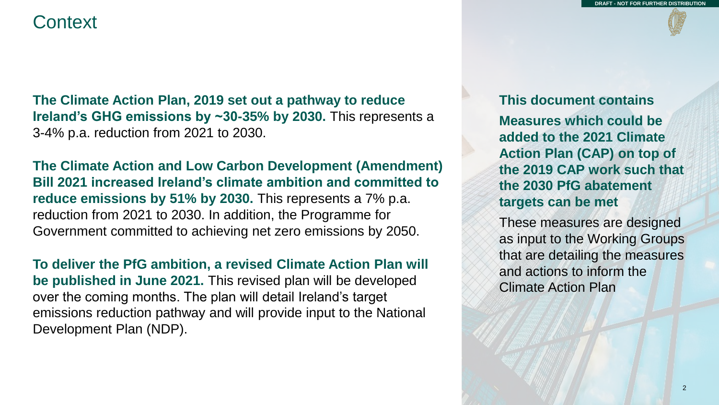#### **Context**

**The Climate Action Plan, 2019 set out a pathway to reduce Ireland's GHG emissions by ~30-35% by 2030.** This represents a 3-4% p.a. reduction from 2021 to 2030.

**The Climate Action and Low Carbon Development (Amendment) Bill 2021 increased Ireland's climate ambition and committed to reduce emissions by 51% by 2030.** This represents a 7% p.a. reduction from 2021 to 2030. In addition, the Programme for Government committed to achieving net zero emissions by 2050.

**To deliver the PfG ambition, a revised Climate Action Plan will be published in June 2021.** This revised plan will be developed over the coming months. The plan will detail Ireland's target emissions reduction pathway and will provide input to the National Development Plan (NDP).

**This document contains Measures which could be added to the 2021 Climate Action Plan (CAP) on top of the 2019 CAP work such that the 2030 PfG abatement targets can be met**

These measures are designed as input to the Working Groups that are detailing the measures and actions to inform the Climate Action Plan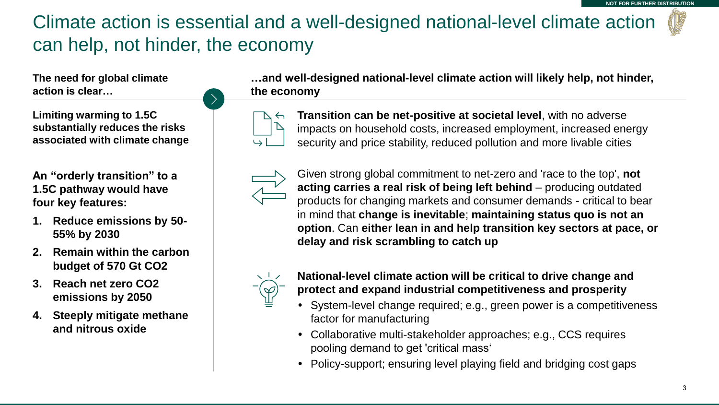## Climate action is essential and a well-designed national-level climate action can help, not hinder, the economy

**The need for global climate action is clear…**

**Limiting warming to 1.5C substantially reduces the risks associated with climate change**

**An "orderly transition" to a 1.5C pathway would have four key features:**

- **1. Reduce emissions by 50- 55% by 2030**
- **2. Remain within the carbon budget of 570 Gt CO2**
- **3. Reach net zero CO2 emissions by 2050**
- **4. Steeply mitigate methane and nitrous oxide**

**…and well-designed national-level climate action will likely help, not hinder, the economy** 



**Transition can be net-positive at societal level**, with no adverse impacts on household costs, increased employment, increased energy security and price stability, reduced pollution and more livable cities



Given strong global commitment to net-zero and 'race to the top', **not acting carries a real risk of being left behind** – producing outdated products for changing markets and consumer demands - critical to bear in mind that **change is inevitable**; **maintaining status quo is not an option**. Can **either lean in and help transition key sectors at pace, or delay and risk scrambling to catch up**



**National-level climate action will be critical to drive change and protect and expand industrial competitiveness and prosperity**

- System-level change required; e.g., green power is a competitiveness factor for manufacturing
- Collaborative multi-stakeholder approaches; e.g., CCS requires pooling demand to get 'critical mass'
- Policy-support; ensuring level playing field and bridging cost gaps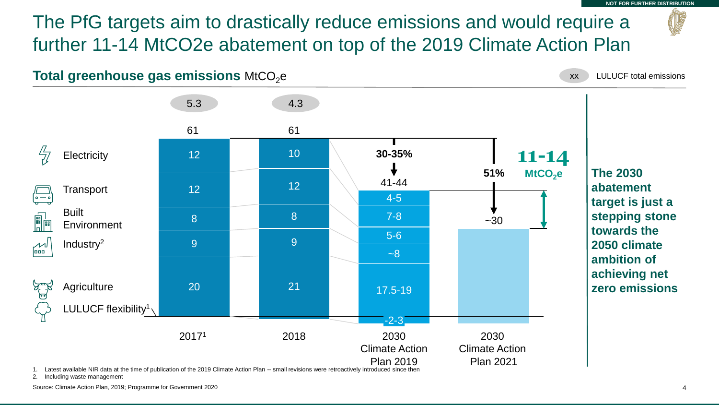The PfG targets aim to drastically reduce emissions and would require a further 11-14 MtCO2e abatement on top of the 2019 Climate Action Plan

**Total greenhouse gas emissions MtCO<sub>2</sub>e** 

xx LULUCF total emissions

**NOT FOR FURTHER DISTRIBUTION**



1. Latest available NIR data at the time of publication of the 2019 Climate Action Plan -- small revisions were retroactively introduced since then

2. Including waste management

Source: Climate Action Plan, 2019; Programme for Government 2020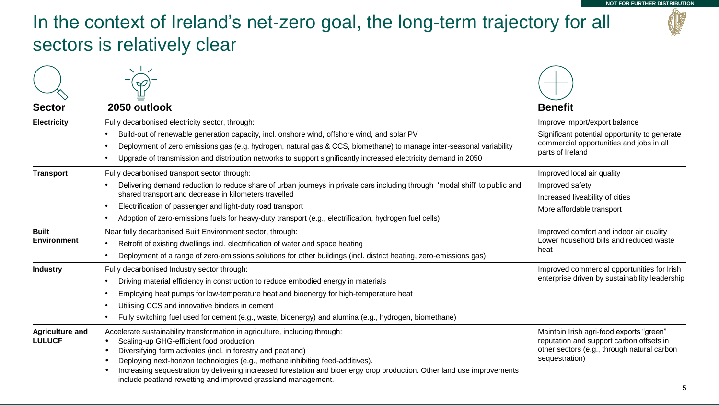## In the context of Ireland's net-zero goal, the long-term trajectory for all sectors is relatively clear

| <b>Sector</b>                           | 2050 outlook                                                                                                                                                                                                                                                                                                                                                                                                                                                          | <b>Benefit</b>                                                                                                                                        |  |
|-----------------------------------------|-----------------------------------------------------------------------------------------------------------------------------------------------------------------------------------------------------------------------------------------------------------------------------------------------------------------------------------------------------------------------------------------------------------------------------------------------------------------------|-------------------------------------------------------------------------------------------------------------------------------------------------------|--|
| <b>Electricity</b>                      | Fully decarbonised electricity sector, through:                                                                                                                                                                                                                                                                                                                                                                                                                       | Improve import/export balance                                                                                                                         |  |
|                                         | Build-out of renewable generation capacity, incl. onshore wind, offshore wind, and solar PV                                                                                                                                                                                                                                                                                                                                                                           | Significant potential opportunity to generate                                                                                                         |  |
|                                         | Deployment of zero emissions gas (e.g. hydrogen, natural gas & CCS, biomethane) to manage inter-seasonal variability                                                                                                                                                                                                                                                                                                                                                  | commercial opportunities and jobs in all<br>parts of Ireland                                                                                          |  |
|                                         | Upgrade of transmission and distribution networks to support significantly increased electricity demand in 2050                                                                                                                                                                                                                                                                                                                                                       |                                                                                                                                                       |  |
| <b>Transport</b>                        | Fully decarbonised transport sector through:                                                                                                                                                                                                                                                                                                                                                                                                                          | Improved local air quality                                                                                                                            |  |
|                                         | Delivering demand reduction to reduce share of urban journeys in private cars including through 'modal shift' to public and                                                                                                                                                                                                                                                                                                                                           | Improved safety                                                                                                                                       |  |
|                                         | shared transport and decrease in kilometers travelled                                                                                                                                                                                                                                                                                                                                                                                                                 | Increased liveability of cities                                                                                                                       |  |
|                                         | Electrification of passenger and light-duty road transport                                                                                                                                                                                                                                                                                                                                                                                                            | More affordable transport                                                                                                                             |  |
|                                         | Adoption of zero-emissions fuels for heavy-duty transport (e.g., electrification, hydrogen fuel cells)                                                                                                                                                                                                                                                                                                                                                                |                                                                                                                                                       |  |
| <b>Built</b>                            | Near fully decarbonised Built Environment sector, through:                                                                                                                                                                                                                                                                                                                                                                                                            | Improved comfort and indoor air quality                                                                                                               |  |
| <b>Environment</b>                      | Retrofit of existing dwellings incl. electrification of water and space heating<br>$\bullet$                                                                                                                                                                                                                                                                                                                                                                          | Lower household bills and reduced waste<br>heat                                                                                                       |  |
|                                         | Deployment of a range of zero-emissions solutions for other buildings (incl. district heating, zero-emissions gas)                                                                                                                                                                                                                                                                                                                                                    |                                                                                                                                                       |  |
| <b>Industry</b>                         | Fully decarbonised Industry sector through:                                                                                                                                                                                                                                                                                                                                                                                                                           | Improved commercial opportunities for Irish                                                                                                           |  |
|                                         | Driving material efficiency in construction to reduce embodied energy in materials                                                                                                                                                                                                                                                                                                                                                                                    | enterprise driven by sustainability leadership                                                                                                        |  |
|                                         | Employing heat pumps for low-temperature heat and bioenergy for high-temperature heat                                                                                                                                                                                                                                                                                                                                                                                 |                                                                                                                                                       |  |
|                                         | Utilising CCS and innovative binders in cement                                                                                                                                                                                                                                                                                                                                                                                                                        |                                                                                                                                                       |  |
|                                         | Fully switching fuel used for cement (e.g., waste, bioenergy) and alumina (e.g., hydrogen, biomethane)                                                                                                                                                                                                                                                                                                                                                                |                                                                                                                                                       |  |
| <b>Agriculture and</b><br><b>LULUCF</b> | Accelerate sustainability transformation in agriculture, including through:<br>Scaling-up GHG-efficient food production<br>Diversifying farm activates (incl. in forestry and peatland)<br>Deploying next-horizon technologies (e.g., methane inhibiting feed-additives).<br>Increasing sequestration by delivering increased forestation and bioenergy crop production. Other land use improvements<br>include peatland rewetting and improved grassland management. | Maintain Irish agri-food exports "green"<br>reputation and support carbon offsets in<br>other sectors (e.g., through natural carbon<br>sequestration) |  |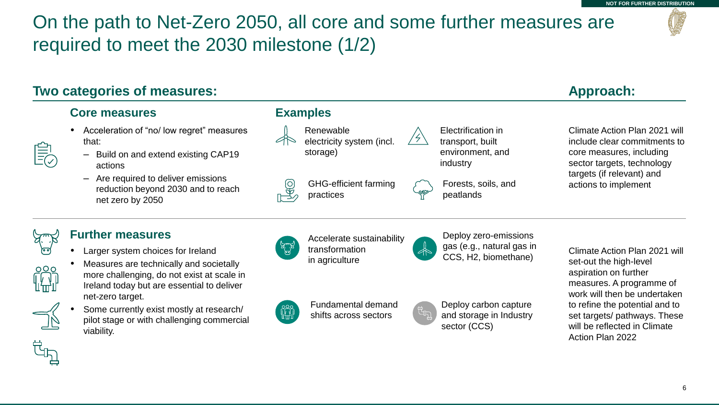## On the path to Net-Zero 2050, all core and some further measures are required to meet the 2030 milestone (1/2)

#### **Two categories of measures:**

#### **Core measures**

- Acceleration of "no/ low regret" measures that:
	- Build on and extend existing CAP19 actions
	- Are required to deliver emissions reduction beyond 2030 and to reach net zero by 2050

#### **Examples**

Renewable electricity system (incl. storage)

GHG-efficient farming practices

Electrification in transport, built environment, and industry

Forests, soils, and peatlands

#### **Approach:**

Climate Action Plan 2021 will include clear commitments to core measures, including sector targets, technology targets (if relevant) and actions to implement



#### **Further measures**

Larger system choices for Ireland



- Measures are technically and societally more challenging, do not exist at scale in Ireland today but are essential to deliver net-zero target.
- Some currently exist mostly at research/ pilot stage or with challenging commercial viability.



Accelerate sustainability transformation in agriculture

Deploy zero-emissions gas (e.g., natural gas in CCS, H2, biomethane)



Fundamental demand shifts across sectors



Deploy carbon capture and storage in Industry sector (CCS)

Climate Action Plan 2021 will set-out the high-level aspiration on further measures. A programme of work will then be undertaken to refine the potential and to set targets/ pathways. These will be reflected in Climate Action Plan 2022

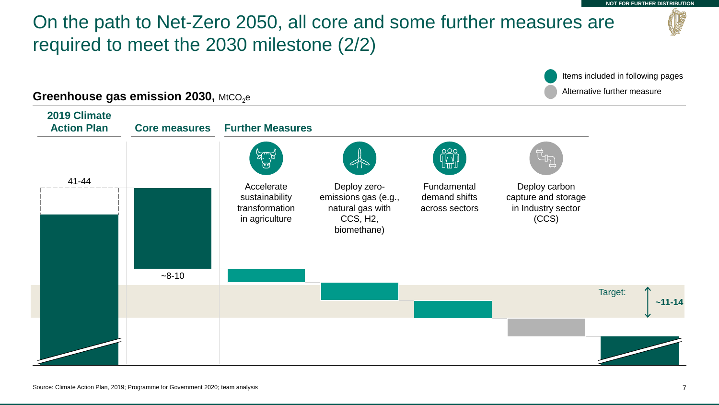#### On the path to Net-Zero 2050, all core and some further measures are required to meet the 2030 milestone (2/2) 41-44  $-8-10$ **2019 Climate Action Plan Core measures Further Measures**  Deploy zeroemissions gas (e.g., natural gas with CCS, H2, biomethane) Deploy carbon capture and storage in Industry sector (CCS) Accelerate sustainability transformation in agriculture Fundamental demand shifts across sectors Target: **~11-14** Items included in following pages **Alternative further measure** Alternative further measure **Greenhouse gas emission 2030,** MtCO<sub>2</sub>e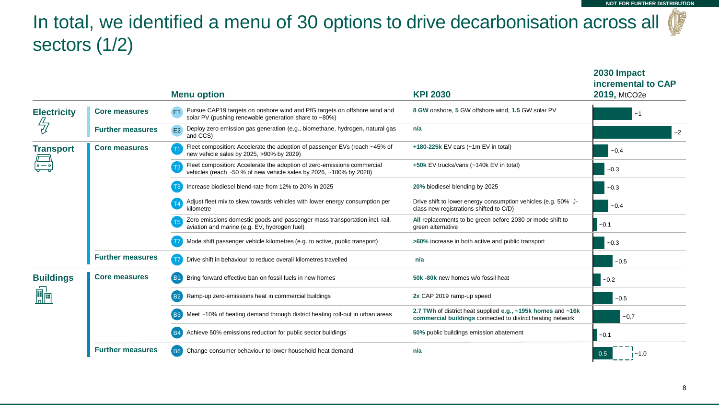**2030 Impact** 

## In total, we identified a menu of 30 options to drive decarbonisation across all sectors (1/2)

|                    |                         | <b>Menu option</b>                                                                                                                                   | <b>KPI 2030</b>                                                                                                            | incremental to CAP<br>2019, MtCO2e |
|--------------------|-------------------------|------------------------------------------------------------------------------------------------------------------------------------------------------|----------------------------------------------------------------------------------------------------------------------------|------------------------------------|
| <b>Electricity</b> | <b>Core measures</b>    | Pursue CAP19 targets on onshore wind and PfG targets on offshore wind and<br>E <sub>1</sub><br>solar PV (pushing renewable generation share to ~80%) | 8 GW onshore, 5 GW offshore wind, 1.5 GW solar PV                                                                          | $-1$                               |
|                    | <b>Further measures</b> | Deploy zero emission gas generation (e.g., biomethane, hydrogen, natural gas<br><b>E2</b><br>and CCS)                                                | n/a                                                                                                                        | $-2$                               |
| <b>Transport</b>   | <b>Core measures</b>    | Fleet composition: Accelerate the adoption of passenger EVs (reach ~45% of<br>new vehicle sales by 2025, >90% by 2029)                               | +180-225 $k$ EV cars (~1m EV in total)                                                                                     | $-0.4$                             |
|                    |                         | Fleet composition: Accelerate the adoption of zero-emissions commercial<br>vehicles (reach ~50 % of new vehicle sales by 2026, ~100% by 2028)        | +50k EV trucks/vans (~140k EV in total)                                                                                    | $-0.3$                             |
|                    |                         | Increase biodiesel blend-rate from 12% to 20% in 2025                                                                                                | 20% biodiesel blending by 2025                                                                                             | $-0.3$                             |
|                    |                         | Adjust fleet mix to skew towards vehicles with lower energy consumption per<br>kilometre                                                             | Drive shift to lower energy consumption vehicles (e.g. 50% J-<br>class new registrations shifted to C/D)                   | $-0.4$                             |
|                    |                         | Zero emissions domestic goods and passenger mass transportation incl. rail,<br>aviation and marine (e.g. EV, hydrogen fuel)                          | All replacements to be green before 2030 or mode shift to<br>green alternative                                             | $-0.1$                             |
|                    |                         | Mode shift passenger vehicle kilometres (e.g. to active, public transport)                                                                           | >60% increase in both active and public transport                                                                          | $-0.3$                             |
|                    | <b>Further measures</b> | Drive shift in behaviour to reduce overall kilometres travelled                                                                                      | n/a                                                                                                                        | $-0.5$                             |
| <b>Buildings</b>   | <b>Core measures</b>    | Bring forward effective ban on fossil fuels in new homes<br><b>B1</b>                                                                                | 50k -80k new homes w/o fossil heat                                                                                         | $-0.2$                             |
|                    |                         | Ramp-up zero-emissions heat in commercial buildings                                                                                                  | 2x CAP 2019 ramp-up speed                                                                                                  | $-0.5$                             |
|                    |                         | Meet ~10% of heating demand through district heating roll-out in urban areas                                                                         | 2.7 TWh of district heat supplied e.g., ~195k homes and ~16k<br>commercial buildings connected to district heating network | $-0.7$                             |
|                    |                         | Achieve 50% emissions reduction for public sector buildings                                                                                          | 50% public buildings emission abatement                                                                                    | $-0.1$                             |
|                    | <b>Further measures</b> | (B6)<br>Change consumer behaviour to lower household heat demand                                                                                     | n/a                                                                                                                        | $-1.0$                             |

8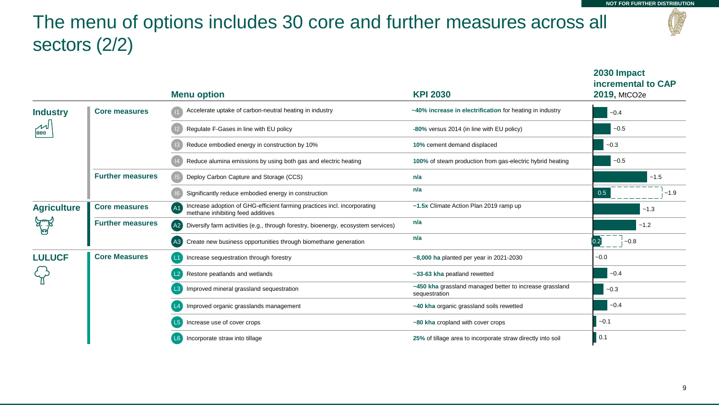**2030 Impact** 

## The menu of options includes 30 core and further measures across all sectors (2/2)

|                    |                         | <b>Menu option</b>                                                                                                  | <b>KPI 2030</b>                                                          | incremental to CAP<br>2019, MtCO2e |
|--------------------|-------------------------|---------------------------------------------------------------------------------------------------------------------|--------------------------------------------------------------------------|------------------------------------|
| <b>Industry</b>    | <b>Core measures</b>    | Accelerate uptake of carbon-neutral heating in industry                                                             | ~40% increase in electrification for heating in industry                 | $-0.4$                             |
| 000                |                         | Regulate F-Gases in line with EU policy                                                                             | -80% versus 2014 (in line with EU policy)                                | $-0.5$                             |
|                    |                         | Reduce embodied energy in construction by 10%                                                                       | 10% cement demand displaced                                              | $-0.3$                             |
|                    |                         | Reduce alumina emissions by using both gas and electric heating                                                     | 100% of steam production from gas-electric hybrid heating                | $-0.5$                             |
|                    | <b>Further measures</b> | Deploy Carbon Capture and Storage (CCS)                                                                             | n/a                                                                      | $-1.5$                             |
|                    |                         | Significantly reduce embodied energy in construction                                                                | n/a                                                                      | 0.5<br>$-1.9$                      |
| <b>Agriculture</b> | <b>Core measures</b>    | Increase adoption of GHG-efficient farming practices incl. incorporating<br>AA<br>methane inhibiting feed additives | ~1.5x Climate Action Plan 2019 ramp up                                   | $-1.3$                             |
|                    | <b>Further measures</b> | (A2) Diversify farm activities (e.g., through forestry, bioenergy, ecosystem services)                              | n/a                                                                      | $-1.2$                             |
|                    |                         | Create new business opportunities through biomethane generation<br>(A3)                                             | n/a                                                                      | $\frac{1}{1}$ ~0.8                 |
| <b>LULUCF</b>      | <b>Core Measures</b>    | Increase sequestration through forestry                                                                             | ~8,000 ha planted per year in 2021-2030                                  | $-0.0$                             |
|                    |                         | Restore peatlands and wetlands<br>L2                                                                                | ~33-63 kha peatland rewetted                                             | $-0.4$                             |
|                    |                         | Improved mineral grassland sequestration                                                                            | ~450 kha grassland managed better to increase grassland<br>sequestration | $-0.3$                             |
|                    |                         | Improved organic grasslands management                                                                              | ~40 kha organic grassland soils rewetted                                 | $-0.4$                             |
|                    |                         | Increase use of cover crops                                                                                         | ~80 kha cropland with cover crops                                        | $-0.1$                             |
|                    |                         | Incorporate straw into tillage                                                                                      | 25% of tillage area to incorporate straw directly into soil              | 0.1                                |

9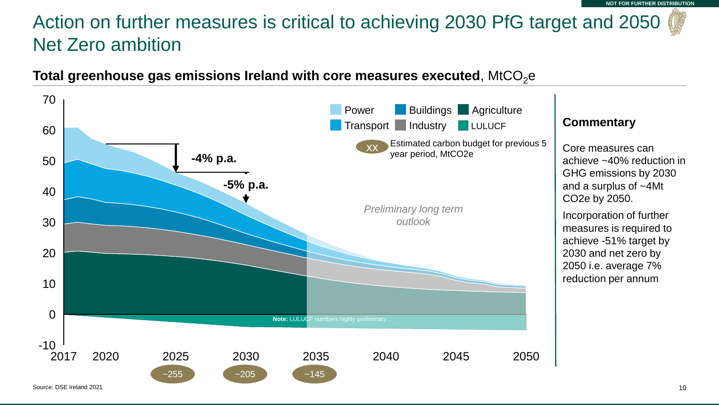## Action on further measures is critical to achieving 2030 PfG target and 2050 Net Zero ambition



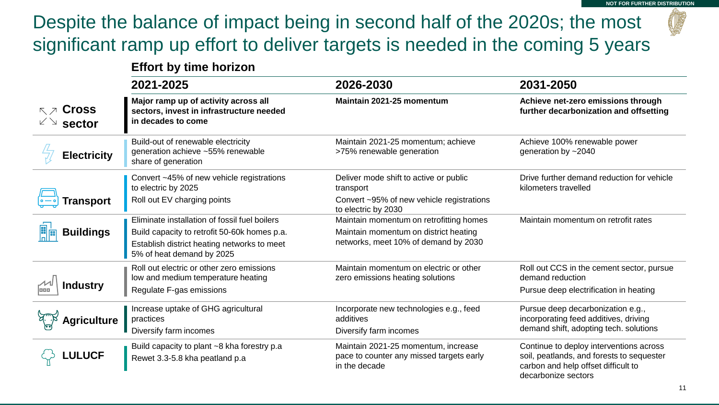## Despite the balance of impact being in second half of the 2020s; the most significant ramp up effort to deliver targets is needed in the coming 5 years

#### **Effort by time horizon**

| 2021-2025                    |                                                                                                        | 2026-2030                                                                                        | 2031-2050                                                                                                                                          |  |
|------------------------------|--------------------------------------------------------------------------------------------------------|--------------------------------------------------------------------------------------------------|----------------------------------------------------------------------------------------------------------------------------------------------------|--|
| <b>Cross</b><br>RZ<br>sector | Major ramp up of activity across all<br>sectors, invest in infrastructure needed<br>in decades to come | Maintain 2021-25 momentum                                                                        | Achieve net-zero emissions through<br>further decarbonization and offsetting                                                                       |  |
| <b>Electricity</b>           | Build-out of renewable electricity<br>generation achieve ~55% renewable<br>share of generation         | Maintain 2021-25 momentum; achieve<br>>75% renewable generation                                  | Achieve 100% renewable power<br>generation by ~2040                                                                                                |  |
|                              | Convert ~45% of new vehicle registrations<br>to electric by 2025                                       | Deliver mode shift to active or public<br>transport                                              | Drive further demand reduction for vehicle<br>kilometers travelled                                                                                 |  |
| Transport                    | Roll out EV charging points                                                                            | Convert ~95% of new vehicle registrations<br>to electric by 2030                                 |                                                                                                                                                    |  |
|                              | Eliminate installation of fossil fuel boilers                                                          | Maintain momentum on retrofitting homes                                                          | Maintain momentum on retrofit rates                                                                                                                |  |
| <b>Buildings</b>             | Build capacity to retrofit 50-60k homes p.a.                                                           | Maintain momentum on district heating                                                            |                                                                                                                                                    |  |
|                              | Establish district heating networks to meet<br>5% of heat demand by 2025                               | networks, meet 10% of demand by 2030                                                             |                                                                                                                                                    |  |
|                              | Roll out electric or other zero emissions<br>low and medium temperature heating                        | Maintain momentum on electric or other<br>zero emissions heating solutions                       | Roll out CCS in the cement sector, pursue<br>demand reduction                                                                                      |  |
| <b>Industry</b>              | Regulate F-gas emissions                                                                               |                                                                                                  | Pursue deep electrification in heating                                                                                                             |  |
| <b>Agriculture</b>           | Increase uptake of GHG agricultural<br>practices<br>Diversify farm incomes                             | Incorporate new technologies e.g., feed<br>additives<br>Diversify farm incomes                   | Pursue deep decarbonization e.g.,<br>incorporating feed additives, driving<br>demand shift, adopting tech. solutions                               |  |
| <b>.ULUCF</b>                | Build capacity to plant ~8 kha forestry p.a<br>Rewet 3.3-5.8 kha peatland p.a                          | Maintain 2021-25 momentum, increase<br>pace to counter any missed targets early<br>in the decade | Continue to deploy interventions across<br>soil, peatlands, and forests to sequester<br>carbon and help offset difficult to<br>decarbonize sectors |  |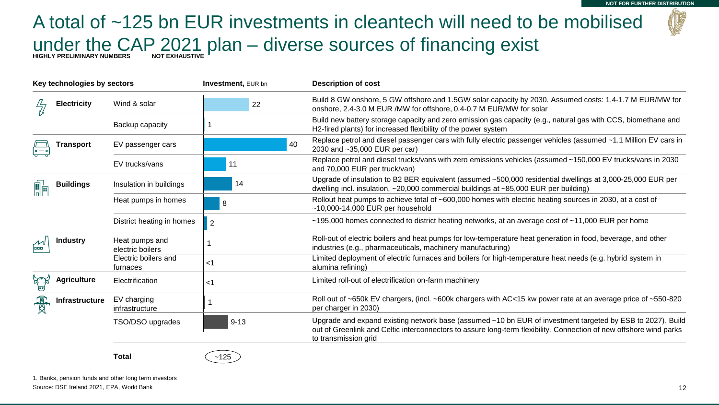## A total of ~125 bn EUR investments in cleantech will need to be mobilised under the CAP 2021 plan – diverse sources of financing exist **HIGHLY PRELIMINARY NUMBERS NOT EXHAUSTIVE**

**Total**  $\left( -125 \right)$ 

| Key technologies by sectors |                       | <b>Investment, EUR bn</b>                                | <b>Description of cost</b> |                                                                                                                                                                                                                                                          |
|-----------------------------|-----------------------|----------------------------------------------------------|----------------------------|----------------------------------------------------------------------------------------------------------------------------------------------------------------------------------------------------------------------------------------------------------|
|                             | <b>Electricity</b>    | Wind & solar                                             | 22                         | Build 8 GW onshore, 5 GW offshore and 1.5GW solar capacity by 2030. Assumed costs: 1.4-1.7 M EUR/MW for<br>onshore, 2.4-3.0 M EUR / MW for offshore, 0.4-0.7 M EUR/ MW for solar                                                                         |
|                             |                       | Backup capacity                                          |                            | Build new battery storage capacity and zero emission gas capacity (e.g., natural gas with CCS, biomethane and<br>H2-fired plants) for increased flexibility of the power system                                                                          |
|                             | Transport             | 40<br>EV passenger cars<br>2030 and ~35,000 EUR per car) |                            | Replace petrol and diesel passenger cars with fully electric passenger vehicles (assumed ~1.1 Million EV cars in                                                                                                                                         |
|                             |                       | EV trucks/vans                                           | 11                         | Replace petrol and diesel trucks/vans with zero emissions vehicles (assumed ~150,000 EV trucks/vans in 2030<br>and 70,000 EUR per truck/van)                                                                                                             |
|                             | <b>Buildings</b>      | Insulation in buildings                                  | 14                         | Upgrade of insulation to B2 BER equivalent (assumed ~500,000 residential dwellings at 3,000-25,000 EUR per<br>dwelling incl. insulation, $\sim$ 20,000 commercial buildings at $\sim$ 85,000 EUR per building)                                           |
|                             |                       | Heat pumps in homes<br>8                                 |                            | Rollout heat pumps to achieve total of ~600,000 homes with electric heating sources in 2030, at a cost of<br>$~10,000$ -14,000 EUR per household                                                                                                         |
|                             |                       | District heating in homes                                | $\overline{2}$             | $\sim$ 195,000 homes connected to district heating networks, at an average cost of $\sim$ 11,000 EUR per home                                                                                                                                            |
| laaa                        | <b>Industry</b>       | Heat pumps and<br>electric boilers                       |                            | Roll-out of electric boilers and heat pumps for low-temperature heat generation in food, beverage, and other<br>industries (e.g., pharmaceuticals, machinery manufacturing)                                                                              |
|                             |                       | Electric boilers and<br>furnaces                         | $<$ 1                      | Limited deployment of electric furnaces and boilers for high-temperature heat needs (e.g. hybrid system in<br>alumina refining)                                                                                                                          |
|                             | <b>Agriculture</b>    | Electrification                                          | <1                         | Limited roll-out of electrification on-farm machinery                                                                                                                                                                                                    |
|                             | <b>Infrastructure</b> | EV charging<br>infrastructure                            |                            | Roll out of ~650k EV chargers, (incl. ~600k chargers with AC<15 kw power rate at an average price of ~550-820<br>per charger in 2030)                                                                                                                    |
|                             |                       | TSO/DSO upgrades                                         | $9 - 13$                   | Upgrade and expand existing network base (assumed ~10 bn EUR of investment targeted by ESB to 2027). Build<br>out of Greenlink and Celtic interconnectors to assure long-term flexibility. Connection of new offshore wind parks<br>to transmission grid |
|                             |                       |                                                          |                            |                                                                                                                                                                                                                                                          |

1. Banks, pension funds and other long term investors

Source: DSE Ireland 2021, EPA, World Bank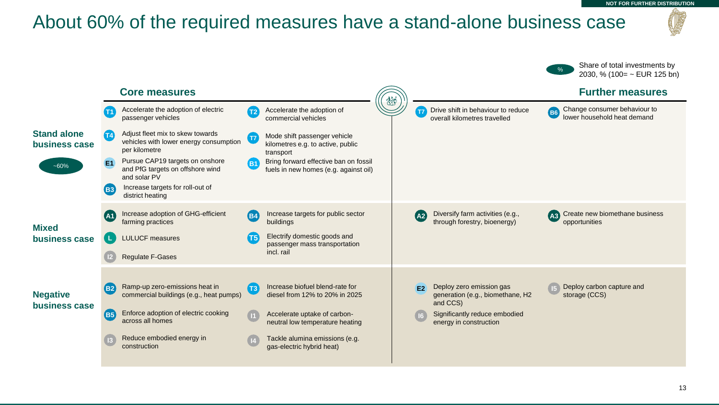### About 60% of the required measures have a stand-alone business case



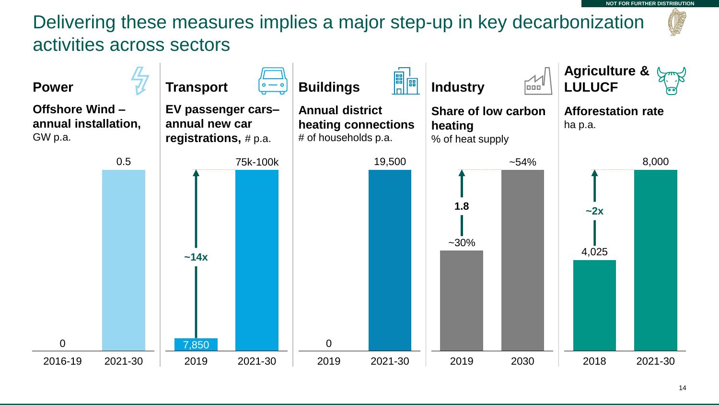**NOT FOR FURTHER DISTRIBUTION**

## Delivering these measures implies a major step-up in key decarbonization activities across sectors

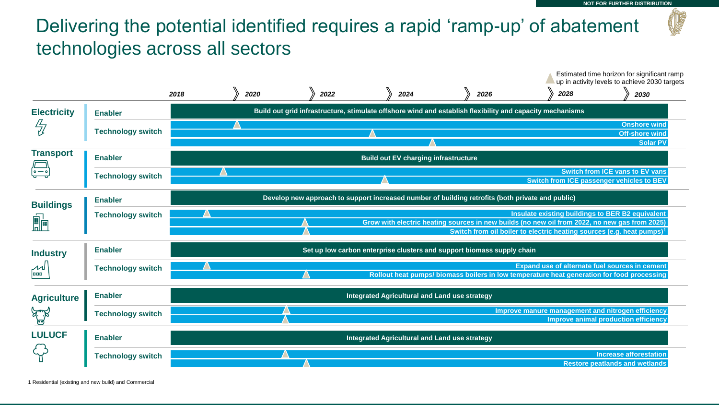## Delivering the potential identified requires a rapid 'ramp-up' of abatement technologies across all sectors